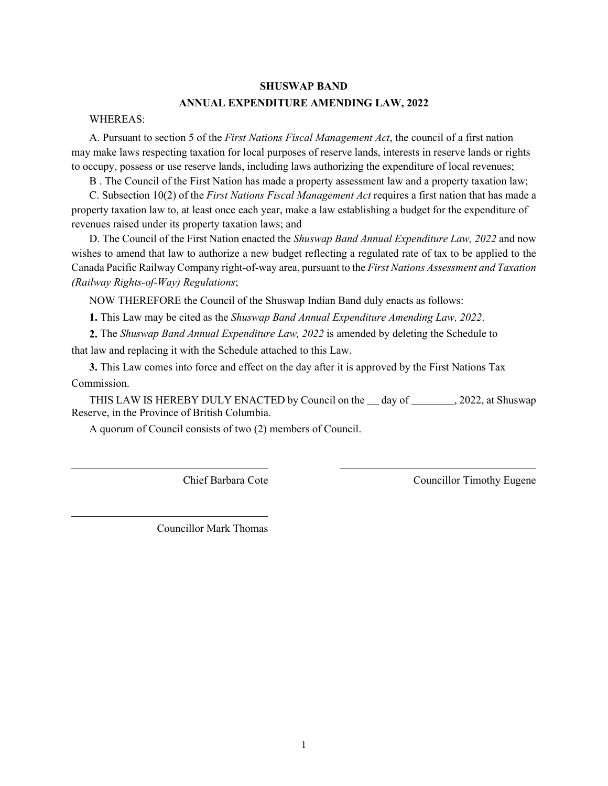#### **SHUSWAP BAND**

### **ANNUAL EXPENDITURE AMENDING LAW, 2022**

#### WHEREAS:

A. Pursuant to section 5 of the *First Nations Fiscal Management Act*, the council of a first nation may make laws respecting taxation for local purposes of reserve lands, interests in reserve lands or rights to occupy, possess or use reserve lands, including laws authorizing the expenditure of local revenues;

B . The Council of the First Nation has made a property assessment law and a property taxation law;

C. Subsection 10(2) of the *First Nations Fiscal Management Act* requires a first nation that has made a property taxation law to, at least once each year, make a law establishing a budget for the expenditure of revenues raised under its property taxation laws; and

D. The Council of the First Nation enacted the *Shuswap Band Annual Expenditure Law, 2022* and now wishes to amend that law to authorize a new budget reflecting a regulated rate of tax to be applied to the Canada Pacific Railway Company right-of-way area, pursuant to the *First Nations Assessment and Taxation (Railway Rights-of-Way) Regulations*;

NOW THEREFORE the Council of the Shuswap Indian Band duly enacts as follows:

**1.** This Law may be cited as the *Shuswap Band Annual Expenditure Amending Law, 2022*.

**2.** The *Shuswap Band Annual Expenditure Law, 2022* is amended by deleting the Schedule to that law and replacing it with the Schedule attached to this Law.

**3.** This Law comes into force and effect on the day after it is approved by the First Nations Tax Commission.

THIS LAW IS HEREBY DULY ENACTED by Council on the day of , 2022, at Shuswap Reserve, in the Province of British Columbia.

A quorum of Council consists of two (2) members of Council.

Chief Barbara Cote Councillor Timothy Eugene

Councillor Mark Thomas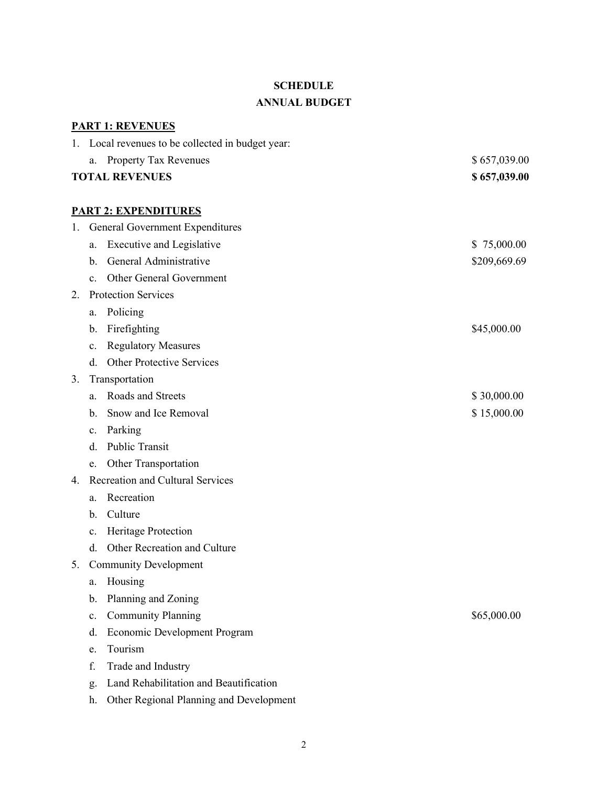# **SCHEDULE**

## **ANNUAL BUDGET**

|                       |                          | <b>PART 1: REVENUES</b>                           |              |  |  |  |
|-----------------------|--------------------------|---------------------------------------------------|--------------|--|--|--|
|                       |                          | 1. Local revenues to be collected in budget year: |              |  |  |  |
|                       | a.                       | Property Tax Revenues                             | \$657,039.00 |  |  |  |
| <b>TOTAL REVENUES</b> |                          |                                                   | \$657,039.00 |  |  |  |
|                       |                          |                                                   |              |  |  |  |
|                       |                          | <b>PART 2: EXPENDITURES</b>                       |              |  |  |  |
| 1.                    |                          | General Government Expenditures                   |              |  |  |  |
|                       | a.                       | <b>Executive and Legislative</b>                  | \$75,000.00  |  |  |  |
|                       | b.                       | General Administrative                            | \$209,669.69 |  |  |  |
|                       | $\mathbf{c}$ .           | Other General Government                          |              |  |  |  |
| 2.                    |                          | <b>Protection Services</b>                        |              |  |  |  |
|                       | a.                       | Policing                                          |              |  |  |  |
|                       | b.                       | Firefighting                                      | \$45,000.00  |  |  |  |
|                       | c.                       | <b>Regulatory Measures</b>                        |              |  |  |  |
|                       | d.                       | <b>Other Protective Services</b>                  |              |  |  |  |
| 3.                    | Transportation           |                                                   |              |  |  |  |
|                       | a.                       | Roads and Streets                                 | \$30,000.00  |  |  |  |
|                       | $\mathbf{b}$ .           | Snow and Ice Removal                              | \$15,000.00  |  |  |  |
|                       | c.                       | Parking                                           |              |  |  |  |
|                       | d.                       | Public Transit                                    |              |  |  |  |
|                       | e.                       | Other Transportation                              |              |  |  |  |
| 4.                    |                          | Recreation and Cultural Services                  |              |  |  |  |
|                       | a.                       | Recreation                                        |              |  |  |  |
|                       | b.                       | Culture                                           |              |  |  |  |
|                       | c.                       | Heritage Protection                               |              |  |  |  |
|                       | d.                       | Other Recreation and Culture                      |              |  |  |  |
|                       | 5. Community Development |                                                   |              |  |  |  |
|                       | a.                       | Housing                                           |              |  |  |  |
|                       | b.                       | Planning and Zoning                               |              |  |  |  |
|                       | $\mathbf{c}$ .           | <b>Community Planning</b>                         | \$65,000.00  |  |  |  |
|                       | d.                       | <b>Economic Development Program</b>               |              |  |  |  |
|                       | e.                       | Tourism                                           |              |  |  |  |
|                       | f.                       | Trade and Industry                                |              |  |  |  |
|                       | $\mathfrak{Q}.$          | Land Rehabilitation and Beautification            |              |  |  |  |

h. Other Regional Planning and Development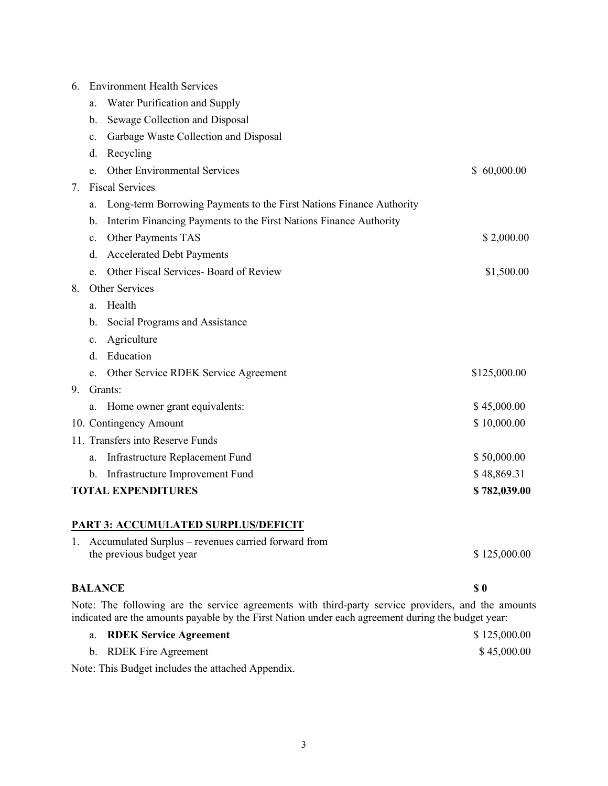| 6.                                        | <b>Environment Health Services</b> |                                                                     |              |  |  |
|-------------------------------------------|------------------------------------|---------------------------------------------------------------------|--------------|--|--|
|                                           | a.                                 | Water Purification and Supply                                       |              |  |  |
|                                           | b.                                 | Sewage Collection and Disposal                                      |              |  |  |
|                                           | c.                                 | Garbage Waste Collection and Disposal                               |              |  |  |
|                                           | d.                                 | Recycling                                                           |              |  |  |
|                                           | e.                                 | Other Environmental Services                                        | \$60,000.00  |  |  |
| 7.                                        |                                    | <b>Fiscal Services</b>                                              |              |  |  |
|                                           | a.                                 | Long-term Borrowing Payments to the First Nations Finance Authority |              |  |  |
|                                           | b.                                 | Interim Financing Payments to the First Nations Finance Authority   |              |  |  |
|                                           | c.                                 | Other Payments TAS                                                  | \$2,000.00   |  |  |
|                                           | d.                                 | <b>Accelerated Debt Payments</b>                                    |              |  |  |
|                                           | e.                                 | Other Fiscal Services- Board of Review                              | \$1,500.00   |  |  |
| 8.                                        |                                    | Other Services                                                      |              |  |  |
|                                           | a.                                 | Health                                                              |              |  |  |
|                                           | b.                                 | Social Programs and Assistance                                      |              |  |  |
|                                           | c.                                 | Agriculture                                                         |              |  |  |
|                                           | d.                                 | Education                                                           |              |  |  |
|                                           | e.                                 | Other Service RDEK Service Agreement                                | \$125,000.00 |  |  |
| 9.                                        |                                    | Grants:                                                             |              |  |  |
|                                           | a.                                 | Home owner grant equivalents:                                       | \$45,000.00  |  |  |
|                                           |                                    | 10. Contingency Amount                                              | \$10,000.00  |  |  |
|                                           |                                    | 11. Transfers into Reserve Funds                                    |              |  |  |
|                                           | a.                                 | Infrastructure Replacement Fund                                     | \$50,000.00  |  |  |
|                                           | b.                                 | Infrastructure Improvement Fund                                     | \$48,869.31  |  |  |
| <b>TOTAL EXPENDITURES</b><br>\$782,039.00 |                                    |                                                                     |              |  |  |
|                                           |                                    | <b>PART 3. ACCUMUL ATED SURPLUS/DEFICIT</b>                         |              |  |  |

### **PART 3: ACCUMULATED SURPLUS/DEFICIT**

| 1. Accumulated Surplus – revenues carried forward from |              |  |  |
|--------------------------------------------------------|--------------|--|--|
| the previous budget year                               | \$125,000.00 |  |  |
|                                                        |              |  |  |

## **BALANCE \$0**

Note: The following are the service agreements with third-party service providers, and the amounts indicated are the amounts payable by the First Nation under each agreement during the budget year:

| <b>RDEK Service Agreement</b> | \$125,000.00 |
|-------------------------------|--------------|
| b. RDEK Fire Agreement        | \$45,000.00  |

Note: This Budget includes the attached Appendix.